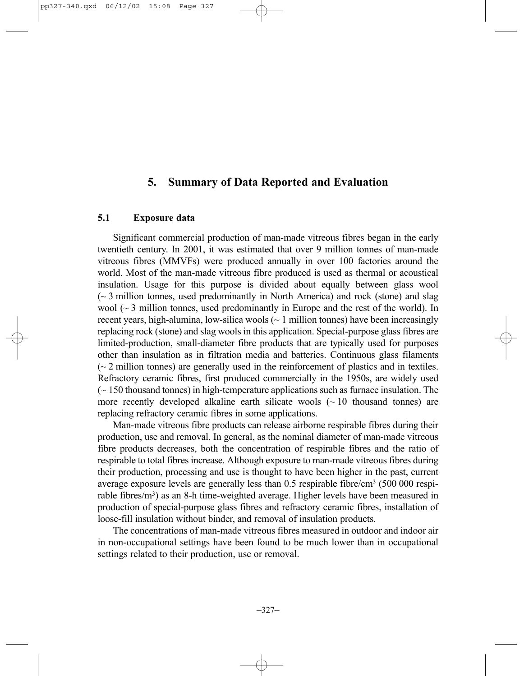# **5. Summary of Data Reported and Evaluation**

# **5.1 Exposure data**

Significant commercial production of man-made vitreous fibres began in the early twentieth century. In 2001, it was estimated that over 9 million tonnes of man-made vitreous fibres (MMVFs) were produced annually in over 100 factories around the world. Most of the man-made vitreous fibre produced is used as thermal or acoustical insulation. Usage for this purpose is divided about equally between glass wool (~ 3 million tonnes, used predominantly in North America) and rock (stone) and slag wool  $\sim$  3 million tonnes, used predominantly in Europe and the rest of the world). In recent years, high-alumina, low-silica wools  $\sim$  1 million tonnes) have been increasingly replacing rock (stone) and slag wools in this application. Special-purpose glass fibres are limited-production, small-diameter fibre products that are typically used for purposes other than insulation as in filtration media and batteries. Continuous glass filaments  $\sim$  2 million tonnes) are generally used in the reinforcement of plastics and in textiles. Refractory ceramic fibres, first produced commercially in the 1950s, are widely used  $\sim$  150 thousand tonnes) in high-temperature applications such as furnace insulation. The more recently developed alkaline earth silicate wools  $(\sim 10)$  thousand tonnes) are replacing refractory ceramic fibres in some applications.

Man-made vitreous fibre products can release airborne respirable fibres during their production, use and removal. In general, as the nominal diameter of man-made vitreous fibre products decreases, both the concentration of respirable fibres and the ratio of respirable to total fibres increase. Although exposure to man-made vitreous fibres during their production, processing and use is thought to have been higher in the past, current average exposure levels are generally less than 0.5 respirable fibre/ $\text{cm}^3$  (500 000 respirable fibres/ $m<sup>3</sup>$ ) as an 8-h time-weighted average. Higher levels have been measured in production of special-purpose glass fibres and refractory ceramic fibres, installation of loose-fill insulation without binder, and removal of insulation products.

The concentrations of man-made vitreous fibres measured in outdoor and indoor air in non-occupational settings have been found to be much lower than in occupational settings related to their production, use or removal.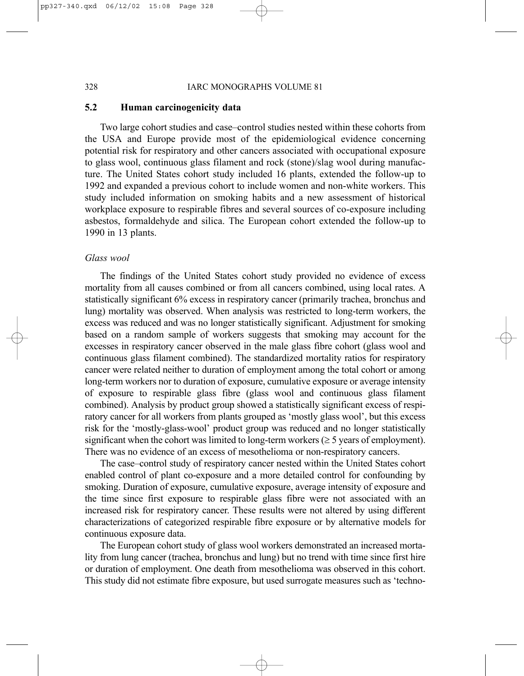# **5.2 Human carcinogenicity data**

Two large cohort studies and case–control studies nested within these cohorts from the USA and Europe provide most of the epidemiological evidence concerning potential risk for respiratory and other cancers associated with occupational exposure to glass wool, continuous glass filament and rock (stone)/slag wool during manufacture. The United States cohort study included 16 plants, extended the follow-up to 1992 and expanded a previous cohort to include women and non-white workers. This study included information on smoking habits and a new assessment of historical workplace exposure to respirable fibres and several sources of co-exposure including asbestos, formaldehyde and silica. The European cohort extended the follow-up to 1990 in 13 plants.

#### *Glass wool*

The findings of the United States cohort study provided no evidence of excess mortality from all causes combined or from all cancers combined, using local rates. A statistically significant 6% excess in respiratory cancer (primarily trachea, bronchus and lung) mortality was observed. When analysis was restricted to long-term workers, the excess was reduced and was no longer statistically significant. Adjustment for smoking based on a random sample of workers suggests that smoking may account for the excesses in respiratory cancer observed in the male glass fibre cohort (glass wool and continuous glass filament combined). The standardized mortality ratios for respiratory cancer were related neither to duration of employment among the total cohort or among long-term workers nor to duration of exposure, cumulative exposure or average intensity of exposure to respirable glass fibre (glass wool and continuous glass filament combined). Analysis by product group showed a statistically significant excess of respiratory cancer for all workers from plants grouped as 'mostly glass wool', but this excess risk for the 'mostly-glass-wool' product group was reduced and no longer statistically significant when the cohort was limited to long-term workers ( $\geq$  5 years of employment). There was no evidence of an excess of mesothelioma or non-respiratory cancers.

The case–control study of respiratory cancer nested within the United States cohort enabled control of plant co-exposure and a more detailed control for confounding by smoking. Duration of exposure, cumulative exposure, average intensity of exposure and the time since first exposure to respirable glass fibre were not associated with an increased risk for respiratory cancer. These results were not altered by using different characterizations of categorized respirable fibre exposure or by alternative models for continuous exposure data.

The European cohort study of glass wool workers demonstrated an increased mortality from lung cancer (trachea, bronchus and lung) but no trend with time since first hire or duration of employment. One death from mesothelioma was observed in this cohort. This study did not estimate fibre exposure, but used surrogate measures such as 'techno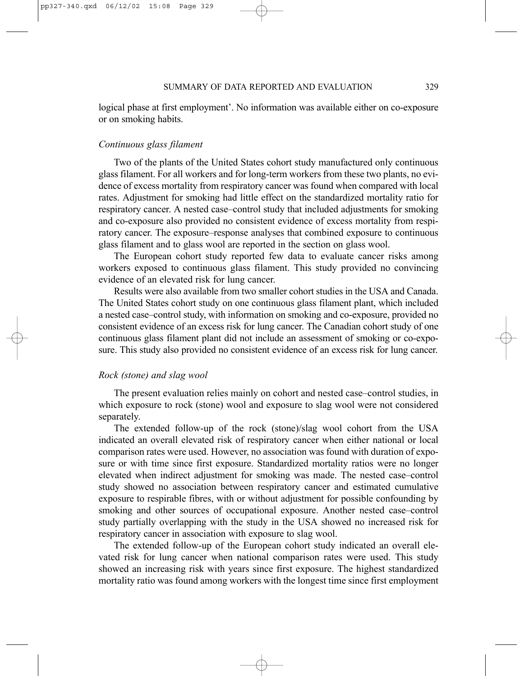logical phase at first employment'. No information was available either on co-exposure or on smoking habits.

#### *Continuous glass filament*

Two of the plants of the United States cohort study manufactured only continuous glass filament. For all workers and for long-term workers from these two plants, no evidence of excess mortality from respiratory cancer was found when compared with local rates. Adjustment for smoking had little effect on the standardized mortality ratio for respiratory cancer. A nested case–control study that included adjustments for smoking and co-exposure also provided no consistent evidence of excess mortality from respiratory cancer. The exposure–response analyses that combined exposure to continuous glass filament and to glass wool are reported in the section on glass wool.

The European cohort study reported few data to evaluate cancer risks among workers exposed to continuous glass filament. This study provided no convincing evidence of an elevated risk for lung cancer.

Results were also available from two smaller cohort studies in the USA and Canada. The United States cohort study on one continuous glass filament plant, which included a nested case–control study, with information on smoking and co-exposure, provided no consistent evidence of an excess risk for lung cancer. The Canadian cohort study of one continuous glass filament plant did not include an assessment of smoking or co-exposure. This study also provided no consistent evidence of an excess risk for lung cancer.

#### *Rock (stone) and slag wool*

The present evaluation relies mainly on cohort and nested case–control studies, in which exposure to rock (stone) wool and exposure to slag wool were not considered separately.

The extended follow-up of the rock (stone)/slag wool cohort from the USA indicated an overall elevated risk of respiratory cancer when either national or local comparison rates were used. However, no association was found with duration of exposure or with time since first exposure. Standardized mortality ratios were no longer elevated when indirect adjustment for smoking was made. The nested case–control study showed no association between respiratory cancer and estimated cumulative exposure to respirable fibres, with or without adjustment for possible confounding by smoking and other sources of occupational exposure. Another nested case–control study partially overlapping with the study in the USA showed no increased risk for respiratory cancer in association with exposure to slag wool.

The extended follow-up of the European cohort study indicated an overall elevated risk for lung cancer when national comparison rates were used. This study showed an increasing risk with years since first exposure. The highest standardized mortality ratio was found among workers with the longest time since first employment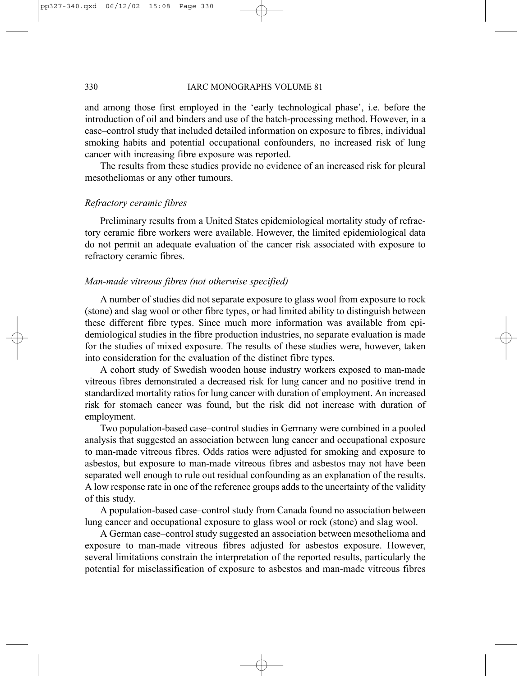and among those first employed in the 'early technological phase', i.e. before the introduction of oil and binders and use of the batch-processing method. However, in a case–control study that included detailed information on exposure to fibres, individual smoking habits and potential occupational confounders, no increased risk of lung cancer with increasing fibre exposure was reported.

The results from these studies provide no evidence of an increased risk for pleural mesotheliomas or any other tumours.

# *Refractory ceramic fibres*

Preliminary results from a United States epidemiological mortality study of refractory ceramic fibre workers were available. However, the limited epidemiological data do not permit an adequate evaluation of the cancer risk associated with exposure to refractory ceramic fibres.

# *Man-made vitreous fibres (not otherwise specified)*

A number of studies did not separate exposure to glass wool from exposure to rock (stone) and slag wool or other fibre types, or had limited ability to distinguish between these different fibre types. Since much more information was available from epidemiological studies in the fibre production industries, no separate evaluation is made for the studies of mixed exposure. The results of these studies were, however, taken into consideration for the evaluation of the distinct fibre types.

A cohort study of Swedish wooden house industry workers exposed to man-made vitreous fibres demonstrated a decreased risk for lung cancer and no positive trend in standardized mortality ratios for lung cancer with duration of employment. An increased risk for stomach cancer was found, but the risk did not increase with duration of employment.

Two population-based case–control studies in Germany were combined in a pooled analysis that suggested an association between lung cancer and occupational exposure to man-made vitreous fibres. Odds ratios were adjusted for smoking and exposure to asbestos, but exposure to man-made vitreous fibres and asbestos may not have been separated well enough to rule out residual confounding as an explanation of the results. A low response rate in one of the reference groups adds to the uncertainty of the validity of this study.

A population-based case–control study from Canada found no association between lung cancer and occupational exposure to glass wool or rock (stone) and slag wool.

A German case–control study suggested an association between mesothelioma and exposure to man-made vitreous fibres adjusted for asbestos exposure. However, several limitations constrain the interpretation of the reported results, particularly the potential for misclassification of exposure to asbestos and man-made vitreous fibres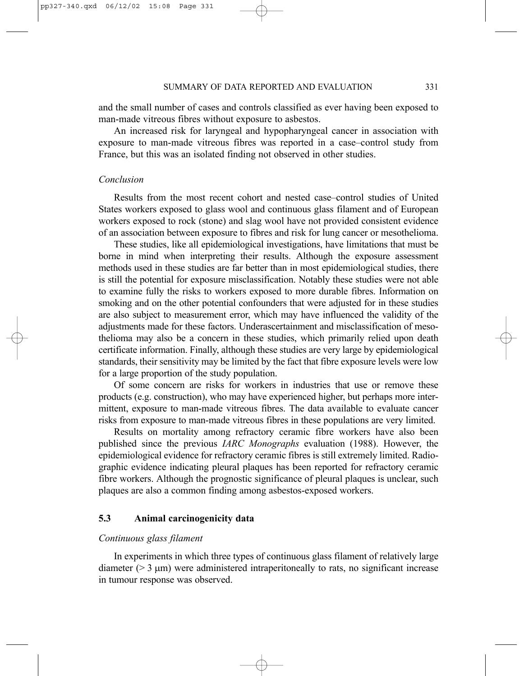and the small number of cases and controls classified as ever having been exposed to man-made vitreous fibres without exposure to asbestos.

An increased risk for laryngeal and hypopharyngeal cancer in association with exposure to man-made vitreous fibres was reported in a case–control study from France, but this was an isolated finding not observed in other studies.

#### *Conclusion*

Results from the most recent cohort and nested case–control studies of United States workers exposed to glass wool and continuous glass filament and of European workers exposed to rock (stone) and slag wool have not provided consistent evidence of an association between exposure to fibres and risk for lung cancer or mesothelioma.

These studies, like all epidemiological investigations, have limitations that must be borne in mind when interpreting their results. Although the exposure assessment methods used in these studies are far better than in most epidemiological studies, there is still the potential for exposure misclassification. Notably these studies were not able to examine fully the risks to workers exposed to more durable fibres. Information on smoking and on the other potential confounders that were adjusted for in these studies are also subject to measurement error, which may have influenced the validity of the adjustments made for these factors. Underascertainment and misclassification of mesothelioma may also be a concern in these studies, which primarily relied upon death certificate information. Finally, although these studies are very large by epidemiological standards, their sensitivity may be limited by the fact that fibre exposure levels were low for a large proportion of the study population.

Of some concern are risks for workers in industries that use or remove these products (e.g. construction), who may have experienced higher, but perhaps more intermittent, exposure to man-made vitreous fibres. The data available to evaluate cancer risks from exposure to man-made vitreous fibres in these populations are very limited.

Results on mortality among refractory ceramic fibre workers have also been published since the previous *IARC Monographs* evaluation (1988). However, the epidemiological evidence for refractory ceramic fibres is still extremely limited. Radiographic evidence indicating pleural plaques has been reported for refractory ceramic fibre workers. Although the prognostic significance of pleural plaques is unclear, such plaques are also a common finding among asbestos-exposed workers.

# **5.3 Animal carcinogenicity data**

# *Continuous glass filament*

In experiments in which three types of continuous glass filament of relatively large diameter  $(> 3 \mu m)$  were administered intraperitoneally to rats, no significant increase in tumour response was observed.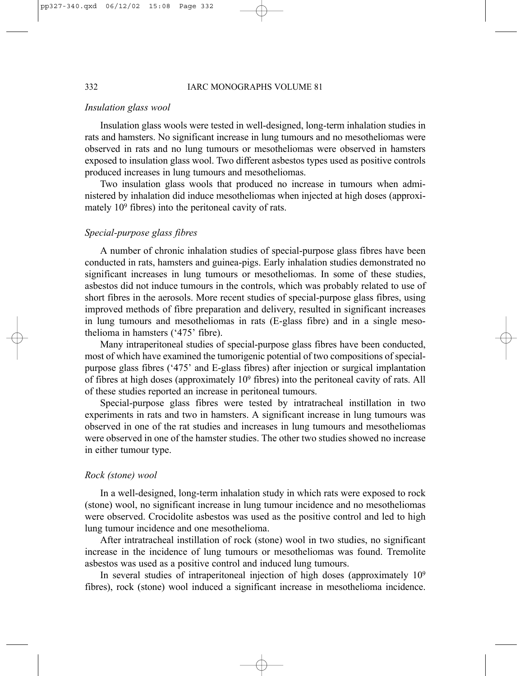#### *Insulation glass wool*

Insulation glass wools were tested in well-designed, long-term inhalation studies in rats and hamsters. No significant increase in lung tumours and no mesotheliomas were observed in rats and no lung tumours or mesotheliomas were observed in hamsters exposed to insulation glass wool. Two different asbestos types used as positive controls produced increases in lung tumours and mesotheliomas.

Two insulation glass wools that produced no increase in tumours when administered by inhalation did induce mesotheliomas when injected at high doses (approximately 109 fibres) into the peritoneal cavity of rats.

# *Special-purpose glass fibres*

A number of chronic inhalation studies of special-purpose glass fibres have been conducted in rats, hamsters and guinea-pigs. Early inhalation studies demonstrated no significant increases in lung tumours or mesotheliomas. In some of these studies, asbestos did not induce tumours in the controls, which was probably related to use of short fibres in the aerosols. More recent studies of special-purpose glass fibres, using improved methods of fibre preparation and delivery, resulted in significant increases in lung tumours and mesotheliomas in rats (E-glass fibre) and in a single mesothelioma in hamsters ('475' fibre).

Many intraperitoneal studies of special-purpose glass fibres have been conducted, most of which have examined the tumorigenic potential of two compositions of specialpurpose glass fibres ('475' and E-glass fibres) after injection or surgical implantation of fibres at high doses (approximately 109 fibres) into the peritoneal cavity of rats. All of these studies reported an increase in peritoneal tumours.

Special-purpose glass fibres were tested by intratracheal instillation in two experiments in rats and two in hamsters. A significant increase in lung tumours was observed in one of the rat studies and increases in lung tumours and mesotheliomas were observed in one of the hamster studies. The other two studies showed no increase in either tumour type.

#### *Rock (stone) wool*

In a well-designed, long-term inhalation study in which rats were exposed to rock (stone) wool, no significant increase in lung tumour incidence and no mesotheliomas were observed. Crocidolite asbestos was used as the positive control and led to high lung tumour incidence and one mesothelioma.

After intratracheal instillation of rock (stone) wool in two studies, no significant increase in the incidence of lung tumours or mesotheliomas was found. Tremolite asbestos was used as a positive control and induced lung tumours.

In several studies of intraperitoneal injection of high doses (approximately 109 fibres), rock (stone) wool induced a significant increase in mesothelioma incidence.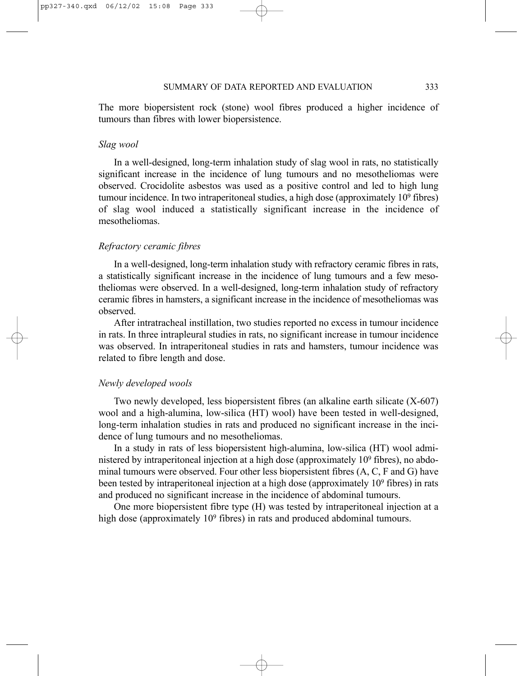The more biopersistent rock (stone) wool fibres produced a higher incidence of tumours than fibres with lower biopersistence.

#### *Slag wool*

In a well-designed, long-term inhalation study of slag wool in rats, no statistically significant increase in the incidence of lung tumours and no mesotheliomas were observed. Crocidolite asbestos was used as a positive control and led to high lung tumour incidence. In two intraperitoneal studies, a high dose (approximately  $10^9$  fibres) of slag wool induced a statistically significant increase in the incidence of mesotheliomas.

#### *Refractory ceramic fibres*

In a well-designed, long-term inhalation study with refractory ceramic fibres in rats, a statistically significant increase in the incidence of lung tumours and a few mesotheliomas were observed. In a well-designed, long-term inhalation study of refractory ceramic fibres in hamsters, a significant increase in the incidence of mesotheliomas was observed.

After intratracheal instillation, two studies reported no excess in tumour incidence in rats. In three intrapleural studies in rats, no significant increase in tumour incidence was observed. In intraperitoneal studies in rats and hamsters, tumour incidence was related to fibre length and dose.

### *Newly developed wools*

Two newly developed, less biopersistent fibres (an alkaline earth silicate (X-607) wool and a high-alumina, low-silica (HT) wool) have been tested in well-designed, long-term inhalation studies in rats and produced no significant increase in the incidence of lung tumours and no mesotheliomas.

In a study in rats of less biopersistent high-alumina, low-silica (HT) wool administered by intraperitoneal injection at a high dose (approximately 109 fibres), no abdominal tumours were observed. Four other less biopersistent fibres (A, C, F and G) have been tested by intraperitoneal injection at a high dose (approximately  $10^9$  fibres) in rats and produced no significant increase in the incidence of abdominal tumours.

One more biopersistent fibre type (H) was tested by intraperitoneal injection at a high dose (approximately 10<sup>9</sup> fibres) in rats and produced abdominal tumours.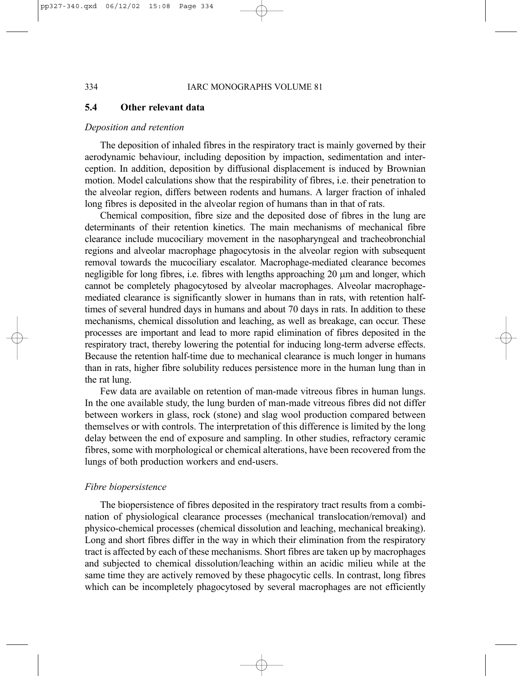# **5.4 Other relevant data**

### *Deposition and retention*

The deposition of inhaled fibres in the respiratory tract is mainly governed by their aerodynamic behaviour, including deposition by impaction, sedimentation and interception. In addition, deposition by diffusional displacement is induced by Brownian motion. Model calculations show that the respirability of fibres, i.e. their penetration to the alveolar region, differs between rodents and humans. A larger fraction of inhaled long fibres is deposited in the alveolar region of humans than in that of rats.

Chemical composition, fibre size and the deposited dose of fibres in the lung are determinants of their retention kinetics. The main mechanisms of mechanical fibre clearance include mucociliary movement in the nasopharyngeal and tracheobronchial regions and alveolar macrophage phagocytosis in the alveolar region with subsequent removal towards the mucociliary escalator. Macrophage-mediated clearance becomes negligible for long fibres, i.e. fibres with lengths approaching 20 µm and longer, which cannot be completely phagocytosed by alveolar macrophages. Alveolar macrophagemediated clearance is significantly slower in humans than in rats, with retention halftimes of several hundred days in humans and about 70 days in rats. In addition to these mechanisms, chemical dissolution and leaching, as well as breakage, can occur. These processes are important and lead to more rapid elimination of fibres deposited in the respiratory tract, thereby lowering the potential for inducing long-term adverse effects. Because the retention half-time due to mechanical clearance is much longer in humans than in rats, higher fibre solubility reduces persistence more in the human lung than in the rat lung.

Few data are available on retention of man-made vitreous fibres in human lungs. In the one available study, the lung burden of man-made vitreous fibres did not differ between workers in glass, rock (stone) and slag wool production compared between themselves or with controls. The interpretation of this difference is limited by the long delay between the end of exposure and sampling. In other studies, refractory ceramic fibres, some with morphological or chemical alterations, have been recovered from the lungs of both production workers and end-users.

### *Fibre biopersistence*

The biopersistence of fibres deposited in the respiratory tract results from a combination of physiological clearance processes (mechanical translocation/removal) and physico-chemical processes (chemical dissolution and leaching, mechanical breaking). Long and short fibres differ in the way in which their elimination from the respiratory tract is affected by each of these mechanisms. Short fibres are taken up by macrophages and subjected to chemical dissolution/leaching within an acidic milieu while at the same time they are actively removed by these phagocytic cells. In contrast, long fibres which can be incompletely phagocytosed by several macrophages are not efficiently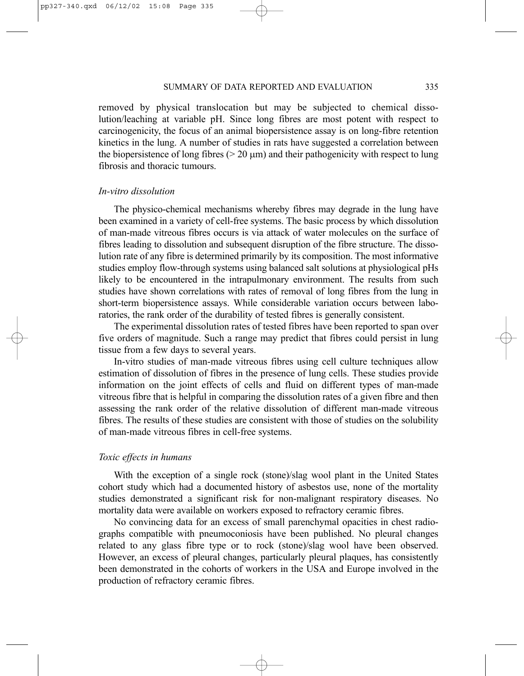removed by physical translocation but may be subjected to chemical dissolution/leaching at variable pH. Since long fibres are most potent with respect to carcinogenicity, the focus of an animal biopersistence assay is on long-fibre retention kinetics in the lung. A number of studies in rats have suggested a correlation between the biopersistence of long fibres ( $>$  20  $\mu$ m) and their pathogenicity with respect to lung fibrosis and thoracic tumours.

# *In-vitro dissolution*

The physico-chemical mechanisms whereby fibres may degrade in the lung have been examined in a variety of cell-free systems. The basic process by which dissolution of man-made vitreous fibres occurs is via attack of water molecules on the surface of fibres leading to dissolution and subsequent disruption of the fibre structure. The dissolution rate of any fibre is determined primarily by its composition. The most informative studies employ flow-through systems using balanced salt solutions at physiological pHs likely to be encountered in the intrapulmonary environment. The results from such studies have shown correlations with rates of removal of long fibres from the lung in short-term biopersistence assays. While considerable variation occurs between laboratories, the rank order of the durability of tested fibres is generally consistent.

The experimental dissolution rates of tested fibres have been reported to span over five orders of magnitude. Such a range may predict that fibres could persist in lung tissue from a few days to several years.

In-vitro studies of man-made vitreous fibres using cell culture techniques allow estimation of dissolution of fibres in the presence of lung cells. These studies provide information on the joint effects of cells and fluid on different types of man-made vitreous fibre that is helpful in comparing the dissolution rates of a given fibre and then assessing the rank order of the relative dissolution of different man-made vitreous fibres. The results of these studies are consistent with those of studies on the solubility of man-made vitreous fibres in cell-free systems.

#### *Toxic effects in humans*

With the exception of a single rock (stone)/slag wool plant in the United States cohort study which had a documented history of asbestos use, none of the mortality studies demonstrated a significant risk for non-malignant respiratory diseases. No mortality data were available on workers exposed to refractory ceramic fibres.

No convincing data for an excess of small parenchymal opacities in chest radiographs compatible with pneumoconiosis have been published. No pleural changes related to any glass fibre type or to rock (stone)/slag wool have been observed. However, an excess of pleural changes, particularly pleural plaques, has consistently been demonstrated in the cohorts of workers in the USA and Europe involved in the production of refractory ceramic fibres.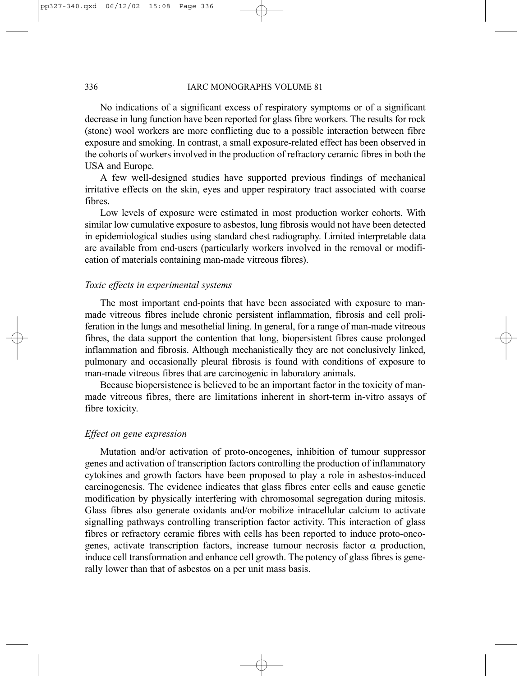No indications of a significant excess of respiratory symptoms or of a significant decrease in lung function have been reported for glass fibre workers. The results for rock (stone) wool workers are more conflicting due to a possible interaction between fibre exposure and smoking. In contrast, a small exposure-related effect has been observed in the cohorts of workers involved in the production of refractory ceramic fibres in both the USA and Europe.

A few well-designed studies have supported previous findings of mechanical irritative effects on the skin, eyes and upper respiratory tract associated with coarse fibres.

Low levels of exposure were estimated in most production worker cohorts. With similar low cumulative exposure to asbestos, lung fibrosis would not have been detected in epidemiological studies using standard chest radiography. Limited interpretable data are available from end-users (particularly workers involved in the removal or modification of materials containing man-made vitreous fibres).

#### *Toxic effects in experimental systems*

The most important end-points that have been associated with exposure to manmade vitreous fibres include chronic persistent inflammation, fibrosis and cell proliferation in the lungs and mesothelial lining. In general, for a range of man-made vitreous fibres, the data support the contention that long, biopersistent fibres cause prolonged inflammation and fibrosis. Although mechanistically they are not conclusively linked, pulmonary and occasionally pleural fibrosis is found with conditions of exposure to man-made vitreous fibres that are carcinogenic in laboratory animals.

Because biopersistence is believed to be an important factor in the toxicity of manmade vitreous fibres, there are limitations inherent in short-term in-vitro assays of fibre toxicity.

#### *Effect on gene expression*

Mutation and/or activation of proto-oncogenes, inhibition of tumour suppressor genes and activation of transcription factors controlling the production of inflammatory cytokines and growth factors have been proposed to play a role in asbestos-induced carcinogenesis. The evidence indicates that glass fibres enter cells and cause genetic modification by physically interfering with chromosomal segregation during mitosis. Glass fibres also generate oxidants and/or mobilize intracellular calcium to activate signalling pathways controlling transcription factor activity. This interaction of glass fibres or refractory ceramic fibres with cells has been reported to induce proto-oncogenes, activate transcription factors, increase tumour necrosis factor  $\alpha$  production, induce cell transformation and enhance cell growth. The potency of glass fibres is generally lower than that of asbestos on a per unit mass basis.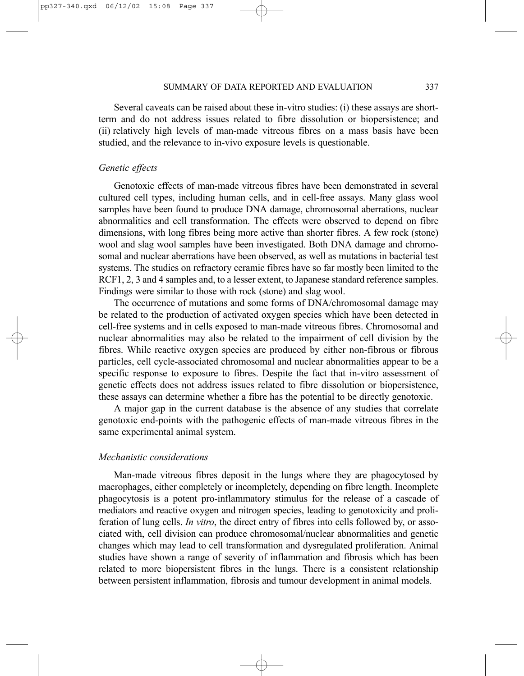Several caveats can be raised about these in-vitro studies: (i) these assays are shortterm and do not address issues related to fibre dissolution or biopersistence; and (ii) relatively high levels of man-made vitreous fibres on a mass basis have been studied, and the relevance to in-vivo exposure levels is questionable.

# *Genetic effects*

Genotoxic effects of man-made vitreous fibres have been demonstrated in several cultured cell types, including human cells, and in cell-free assays. Many glass wool samples have been found to produce DNA damage, chromosomal aberrations, nuclear abnormalities and cell transformation. The effects were observed to depend on fibre dimensions, with long fibres being more active than shorter fibres. A few rock (stone) wool and slag wool samples have been investigated. Both DNA damage and chromosomal and nuclear aberrations have been observed, as well as mutations in bacterial test systems. The studies on refractory ceramic fibres have so far mostly been limited to the RCF1, 2, 3 and 4 samples and, to a lesser extent, to Japanese standard reference samples. Findings were similar to those with rock (stone) and slag wool.

The occurrence of mutations and some forms of DNA/chromosomal damage may be related to the production of activated oxygen species which have been detected in cell-free systems and in cells exposed to man-made vitreous fibres. Chromosomal and nuclear abnormalities may also be related to the impairment of cell division by the fibres. While reactive oxygen species are produced by either non-fibrous or fibrous particles, cell cycle-associated chromosomal and nuclear abnormalities appear to be a specific response to exposure to fibres. Despite the fact that in-vitro assessment of genetic effects does not address issues related to fibre dissolution or biopersistence, these assays can determine whether a fibre has the potential to be directly genotoxic.

A major gap in the current database is the absence of any studies that correlate genotoxic end-points with the pathogenic effects of man-made vitreous fibres in the same experimental animal system.

# *Mechanistic considerations*

Man-made vitreous fibres deposit in the lungs where they are phagocytosed by macrophages, either completely or incompletely, depending on fibre length. Incomplete phagocytosis is a potent pro-inflammatory stimulus for the release of a cascade of mediators and reactive oxygen and nitrogen species, leading to genotoxicity and proliferation of lung cells. *In vitro*, the direct entry of fibres into cells followed by, or associated with, cell division can produce chromosomal/nuclear abnormalities and genetic changes which may lead to cell transformation and dysregulated proliferation. Animal studies have shown a range of severity of inflammation and fibrosis which has been related to more biopersistent fibres in the lungs. There is a consistent relationship between persistent inflammation, fibrosis and tumour development in animal models.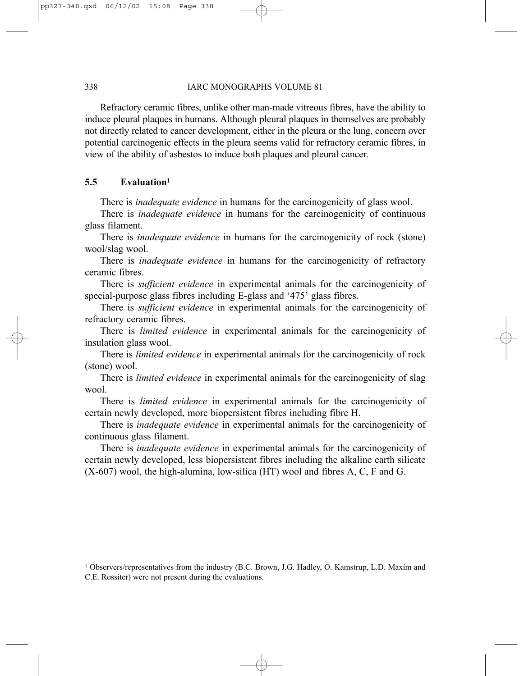Refractory ceramic fibres, unlike other man-made vitreous fibres, have the ability to induce pleural plaques in humans. Although pleural plaques in themselves are probably not directly related to cancer development, either in the pleura or the lung, concern over potential carcinogenic effects in the pleura seems valid for refractory ceramic fibres, in view of the ability of asbestos to induce both plaques and pleural cancer.

# **5.5 Evaluation1**

There is *inadequate evidence* in humans for the carcinogenicity of glass wool.

There is *inadequate evidence* in humans for the carcinogenicity of continuous glass filament.

There is *inadequate evidence* in humans for the carcinogenicity of rock (stone) wool/slag wool.

There is *inadequate evidence* in humans for the carcinogenicity of refractory ceramic fibres.

There is *sufficient evidence* in experimental animals for the carcinogenicity of special-purpose glass fibres including E-glass and '475' glass fibres.

There is *sufficient evidence* in experimental animals for the carcinogenicity of refractory ceramic fibres.

There is *limited evidence* in experimental animals for the carcinogenicity of insulation glass wool.

There is *limited evidence* in experimental animals for the carcinogenicity of rock (stone) wool.

There is *limited evidence* in experimental animals for the carcinogenicity of slag wool.

There is *limited evidence* in experimental animals for the carcinogenicity of certain newly developed, more biopersistent fibres including fibre H.

There is *inadequate evidence* in experimental animals for the carcinogenicity of continuous glass filament.

There is *inadequate evidence* in experimental animals for the carcinogenicity of certain newly developed, less biopersistent fibres including the alkaline earth silicate  $(X-607)$  wool, the high-alumina, low-silica (HT) wool and fibres A, C, F and G.

<sup>1</sup> Observers/representatives from the industry (B.C. Brown, J.G. Hadley, O. Kamstrup, L.D. Maxim and C.E. Rossiter) were not present during the evaluations.